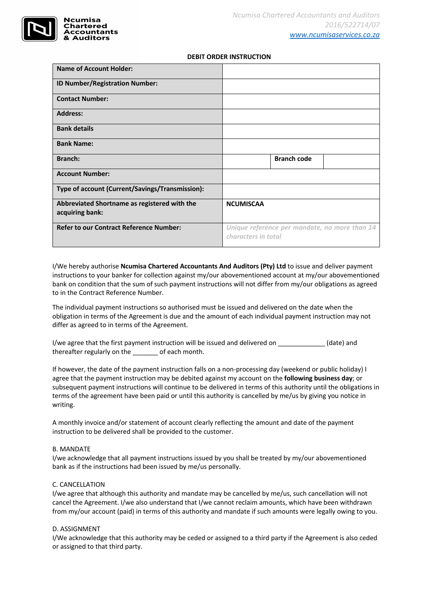

## **DEBIT ORDER INSTRUCTION**

| <b>Name of Account Holder:</b>                                  |                                                                      |                    |  |
|-----------------------------------------------------------------|----------------------------------------------------------------------|--------------------|--|
| ID Number/Registration Number:                                  |                                                                      |                    |  |
| <b>Contact Number:</b>                                          |                                                                      |                    |  |
| <b>Address:</b>                                                 |                                                                      |                    |  |
| <b>Bank details</b>                                             |                                                                      |                    |  |
| <b>Bank Name:</b>                                               |                                                                      |                    |  |
| Branch:                                                         |                                                                      | <b>Branch code</b> |  |
| <b>Account Number:</b>                                          |                                                                      |                    |  |
| Type of account (Current/Savings/Transmission):                 |                                                                      |                    |  |
| Abbreviated Shortname as registered with the<br>acquiring bank: | <b>NCUMISCAA</b>                                                     |                    |  |
| <b>Refer to our Contract Reference Number:</b>                  | Unique reference per mandate, no more than 14<br>characters in total |                    |  |

I/We hereby authorise **Ncumisa Chartered Accountants And Auditors (Pty) Ltd** to issue and deliver payment instructions to your banker for collection against my/our abovementioned account at my/our abovementioned bank on condition that the sum of such payment instructions will not differ from my/our obligations as agreed to in the Contract Reference Number.

The individual payment instructions so authorised must be issued and delivered on the date when the obligation in terms of the Agreement is due and the amount of each individual payment instruction may not differ as agreed to in terms of the Agreement.

I/we agree that the first payment instruction will be issued and delivered on \_\_\_\_\_\_\_\_\_\_\_\_\_\_(date) and thereafter regularly on the \_\_\_\_\_\_\_ of each month.

If however, the date of the payment instruction falls on a non-processing day (weekend or public holiday) I agree that the payment instruction may be debited against my account on the **following business day**; or subsequent payment instructions will continue to be delivered in terms of this authority until the obligations in terms of the agreement have been paid or until this authority is cancelled by me/us by giving you notice in writing.

A monthly invoice and/or statement of account clearly reflecting the amount and date of the payment instruction to be delivered shall be provided to the customer.

## B. MANDATE

I/we acknowledge that all payment instructions issued by you shall be treated by my/our abovementioned bank as if the instructions had been issued by me/us personally.

## C. CANCELLATION

I/we agree that although this authority and mandate may be cancelled by me/us, such cancellation will not cancel the Agreement. I/we also understand that I/we cannot reclaim amounts, which have been withdrawn from my/our account (paid) in terms of this authority and mandate if such amounts were legally owing to you.

## D. ASSIGNMENT

I/We acknowledge that this authority may be ceded or assigned to a third party if the Agreement is also ceded or assigned to that third party.